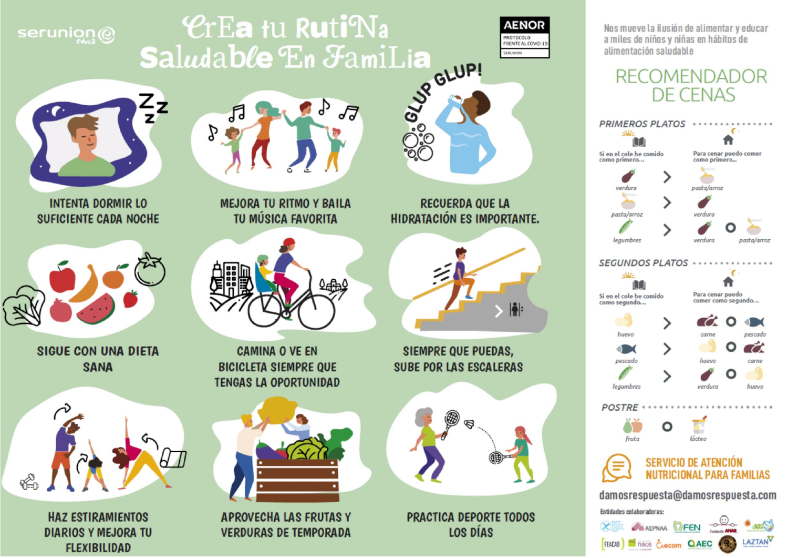## serunion@

# **CrEa tu RutiNa** OUNTED BY Saludable En FamiLia



Nos mueve la ilusión de alimentar y educar a miles de niños y niñas en hábitos de alimentación saludable

## **RECOMENDADOR** DE CENAS





**INTENTA DORMIR LO SUFICIENTE CADA NOCHE** 



**SIGUE CON UNA DIETA SANA** 



**HAZ ESTIRAMIENTOS DIARIOS Y MEJORA TU FLEXIBILIDAD** 

月 57 P

> **MEJORA TU RITMO Y BAILA TU MÚSICA FAVORITA**



**CAMINA O VE EN BICICLETA SIEMPRE QUE TENGAS LA OPORTUNIDAD** 



**APROVECHA LAS FRUTAS Y VERDURAS DE TEMPORADA** 

**RECUERDA QUE LA HIDRATACIÓN ES IMPORTANTE.** 

ెం



**SIEMPRE QUE PUEDAS. SUBE POR LAS ESCALERAS** 



**PRACTICA DEPORTE TODOS LOS DÍAS**